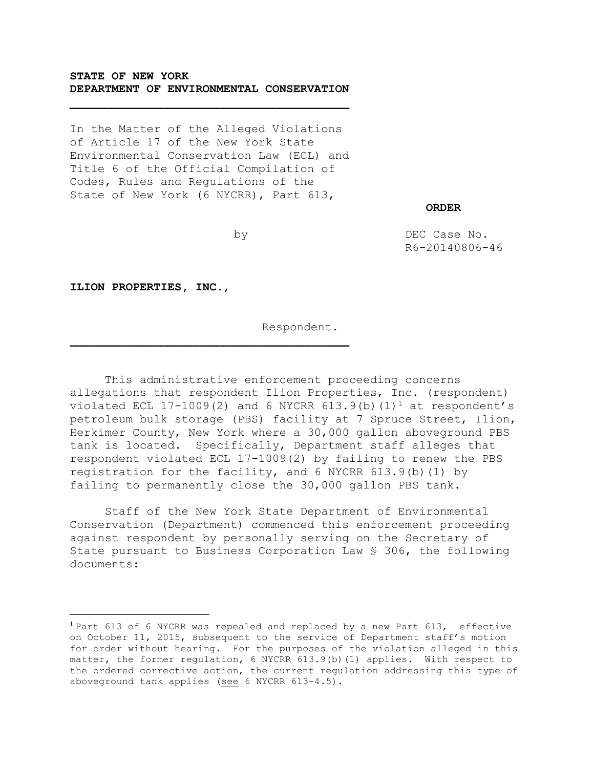# **STATE OF NEW YORK DEPARTMENT OF ENVIRONMENTAL CONSERVATION**

In the Matter of the Alleged Violations of Article 17 of the New York State Environmental Conservation Law (ECL) and Title 6 of the Official Compilation of Codes, Rules and Regulations of the State of New York (6 NYCRR), Part 613,

 **ORDER**

by

DEC Case No. R6-20140806-46

**ILION PROPERTIES, INC.**,

 $\overline{a}$ 

Respondent.

This administrative enforcement proceeding concerns allegations that respondent Ilion Properties, Inc. (respondent) violated ECL 17-1009(2) and 6 NYCRR 613.9(b)(1)<sup>1</sup> at respondent's petroleum bulk storage (PBS) facility at 7 Spruce Street, Ilion, Herkimer County, New York where a 30,000 gallon aboveground PBS tank is located. Specifically, Department staff alleges that respondent violated ECL 17-1009(2) by failing to renew the PBS registration for the facility, and 6 NYCRR 613.9(b)(1) by failing to permanently close the 30,000 gallon PBS tank.

Staff of the New York State Department of Environmental Conservation (Department) commenced this enforcement proceeding against respondent by personally serving on the Secretary of State pursuant to Business Corporation Law § 306, the following documents:

<sup>&</sup>lt;sup>1</sup> Part 613 of 6 NYCRR was repealed and replaced by a new Part 613, effective on October 11, 2015, subsequent to the service of Department staff's motion for order without hearing. For the purposes of the violation alleged in this matter, the former regulation, 6 NYCRR 613.9(b)(1) applies. With respect to the ordered corrective action, the current regulation addressing this type of aboveground tank applies (see 6 NYCRR 613-4.5).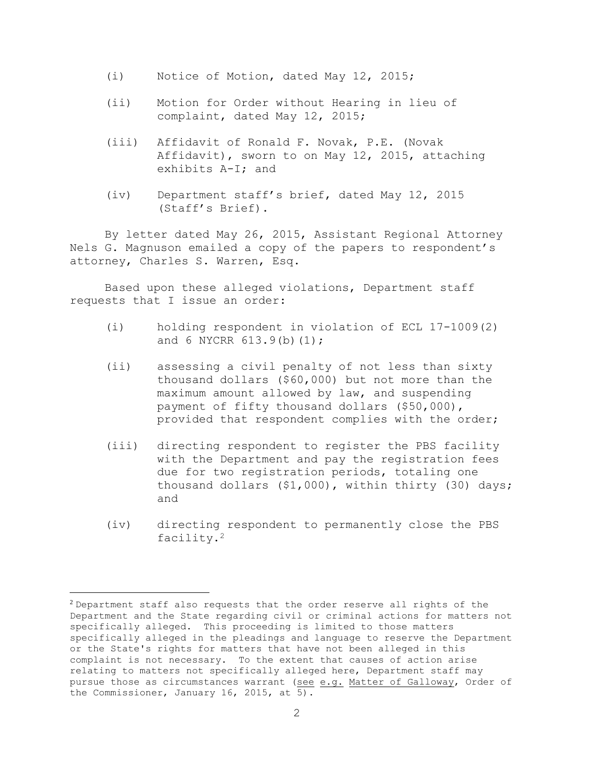- (i) Notice of Motion, dated May 12, 2015;
- (ii) Motion for Order without Hearing in lieu of complaint, dated May 12, 2015;
- (iii) Affidavit of Ronald F. Novak, P.E. (Novak Affidavit), sworn to on May 12, 2015, attaching exhibits A-I; and
- (iv) Department staff's brief, dated May 12, 2015 (Staff's Brief).

By letter dated May 26, 2015, Assistant Regional Attorney Nels G. Magnuson emailed a copy of the papers to respondent's attorney, Charles S. Warren, Esq.

Based upon these alleged violations, Department staff requests that I issue an order:

- (i) holding respondent in violation of ECL 17-1009(2) and 6 NYCRR 613.9(b)(1);
- (ii) assessing a civil penalty of not less than sixty thousand dollars (\$60,000) but not more than the maximum amount allowed by law, and suspending payment of fifty thousand dollars (\$50,000), provided that respondent complies with the order;
- (iii) directing respondent to register the PBS facility with the Department and pay the registration fees due for two registration periods, totaling one thousand dollars (\$1,000), within thirty (30) days; and
- (iv) directing respondent to permanently close the PBS facility.<sup>2</sup>

 $\overline{a}$ 

 $2$  Department staff also requests that the order reserve all rights of the Department and the State regarding civil or criminal actions for matters not specifically alleged. This proceeding is limited to those matters specifically alleged in the pleadings and language to reserve the Department or the State's rights for matters that have not been alleged in this complaint is not necessary. To the extent that causes of action arise relating to matters not specifically alleged here, Department staff may pursue those as circumstances warrant (see e.g. Matter of Galloway, Order of the Commissioner, January 16, 2015, at 5).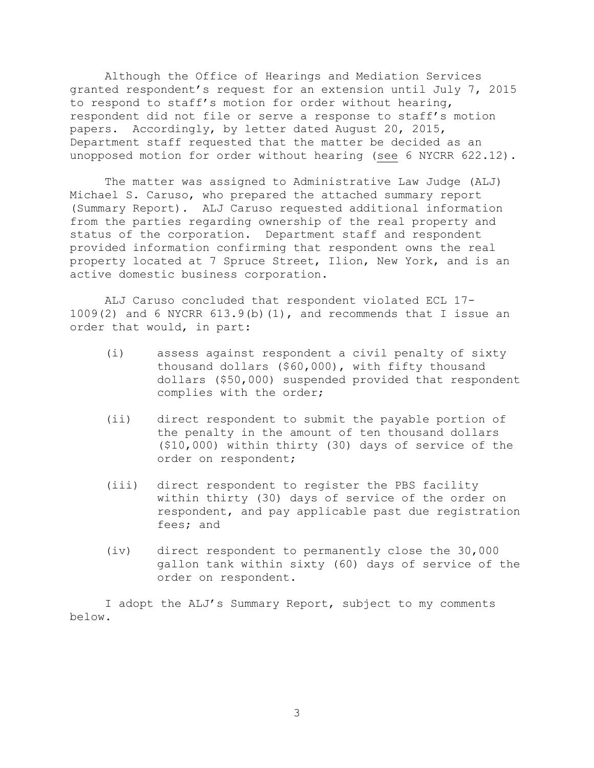Although the Office of Hearings and Mediation Services granted respondent's request for an extension until July 7, 2015 to respond to staff's motion for order without hearing, respondent did not file or serve a response to staff's motion papers. Accordingly, by letter dated August 20, 2015, Department staff requested that the matter be decided as an unopposed motion for order without hearing (see 6 NYCRR 622.12).

The matter was assigned to Administrative Law Judge (ALJ) Michael S. Caruso, who prepared the attached summary report (Summary Report). ALJ Caruso requested additional information from the parties regarding ownership of the real property and status of the corporation. Department staff and respondent provided information confirming that respondent owns the real property located at 7 Spruce Street, Ilion, New York, and is an active domestic business corporation.

ALJ Caruso concluded that respondent violated ECL 17-  $1009(2)$  and 6 NYCRR 613.9(b)(1), and recommends that I issue an order that would, in part:

- (i) assess against respondent a civil penalty of sixty thousand dollars (\$60,000), with fifty thousand dollars (\$50,000) suspended provided that respondent complies with the order;
- (ii) direct respondent to submit the payable portion of the penalty in the amount of ten thousand dollars (\$10,000) within thirty (30) days of service of the order on respondent;
- (iii) direct respondent to register the PBS facility within thirty (30) days of service of the order on respondent, and pay applicable past due registration fees; and
- (iv) direct respondent to permanently close the 30,000 gallon tank within sixty (60) days of service of the order on respondent.

I adopt the ALJ's Summary Report, subject to my comments below.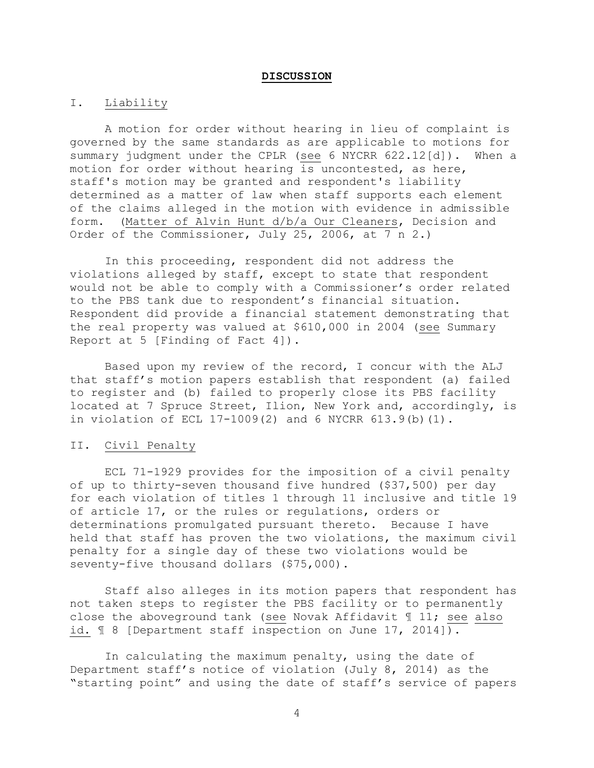#### **DISCUSSION**

### I. Liability

A motion for order without hearing in lieu of complaint is governed by the same standards as are applicable to motions for summary judgment under the CPLR (see 6 NYCRR 622.12[d]). When a motion for order without hearing is uncontested, as here, staff's motion may be granted and respondent's liability determined as a matter of law when staff supports each element of the claims alleged in the motion with evidence in admissible form. (Matter of Alvin Hunt d/b/a Our Cleaners, Decision and Order of the Commissioner, July 25, 2006, at 7 n 2.)

In this proceeding, respondent did not address the violations alleged by staff, except to state that respondent would not be able to comply with a Commissioner's order related to the PBS tank due to respondent's financial situation. Respondent did provide a financial statement demonstrating that the real property was valued at \$610,000 in 2004 (see Summary Report at 5 [Finding of Fact 4]).

Based upon my review of the record, I concur with the ALJ that staff's motion papers establish that respondent (a) failed to register and (b) failed to properly close its PBS facility located at 7 Spruce Street, Ilion, New York and, accordingly, is in violation of ECL 17-1009(2) and 6 NYCRR 613.9(b)(1).

### II. Civil Penalty

ECL 71-1929 provides for the imposition of a civil penalty of up to thirty-seven thousand five hundred (\$37,500) per day for each violation of titles 1 through 11 inclusive and title 19 of article 17, or the rules or regulations, orders or determinations promulgated pursuant thereto. Because I have held that staff has proven the two violations, the maximum civil penalty for a single day of these two violations would be seventy-five thousand dollars (\$75,000).

Staff also alleges in its motion papers that respondent has not taken steps to register the PBS facility or to permanently close the aboveground tank (see Novak Affidavit ¶ 11; see also id.  $\text{I}$  8 [Department staff inspection on June 17, 2014]).

In calculating the maximum penalty, using the date of Department staff's notice of violation (July 8, 2014) as the "starting point" and using the date of staff's service of papers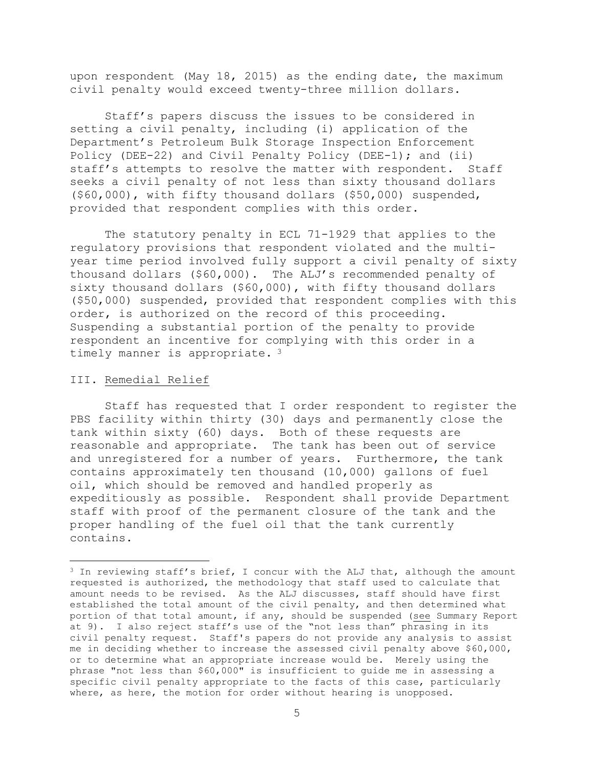upon respondent (May 18, 2015) as the ending date, the maximum civil penalty would exceed twenty-three million dollars.

Staff's papers discuss the issues to be considered in setting a civil penalty, including (i) application of the Department's Petroleum Bulk Storage Inspection Enforcement Policy (DEE-22) and Civil Penalty Policy (DEE-1); and (ii) staff's attempts to resolve the matter with respondent. Staff seeks a civil penalty of not less than sixty thousand dollars (\$60,000), with fifty thousand dollars (\$50,000) suspended, provided that respondent complies with this order.

The statutory penalty in ECL 71-1929 that applies to the regulatory provisions that respondent violated and the multiyear time period involved fully support a civil penalty of sixty thousand dollars (\$60,000). The ALJ's recommended penalty of sixty thousand dollars (\$60,000), with fifty thousand dollars (\$50,000) suspended, provided that respondent complies with this order, is authorized on the record of this proceeding. Suspending a substantial portion of the penalty to provide respondent an incentive for complying with this order in a timely manner is appropriate.<sup>3</sup>

### III. Remedial Relief

 $\overline{a}$ 

Staff has requested that I order respondent to register the PBS facility within thirty (30) days and permanently close the tank within sixty (60) days. Both of these requests are reasonable and appropriate. The tank has been out of service and unregistered for a number of years. Furthermore, the tank contains approximately ten thousand (10,000) gallons of fuel oil, which should be removed and handled properly as expeditiously as possible. Respondent shall provide Department staff with proof of the permanent closure of the tank and the proper handling of the fuel oil that the tank currently contains.

<sup>3</sup> In reviewing staff's brief, I concur with the ALJ that, although the amount requested is authorized, the methodology that staff used to calculate that amount needs to be revised. As the ALJ discusses, staff should have first established the total amount of the civil penalty, and then determined what portion of that total amount, if any, should be suspended (see Summary Report at 9). I also reject staff's use of the "not less than" phrasing in its civil penalty request. Staff's papers do not provide any analysis to assist me in deciding whether to increase the assessed civil penalty above \$60,000, or to determine what an appropriate increase would be. Merely using the phrase "not less than \$60,000" is insufficient to guide me in assessing a specific civil penalty appropriate to the facts of this case, particularly where, as here, the motion for order without hearing is unopposed.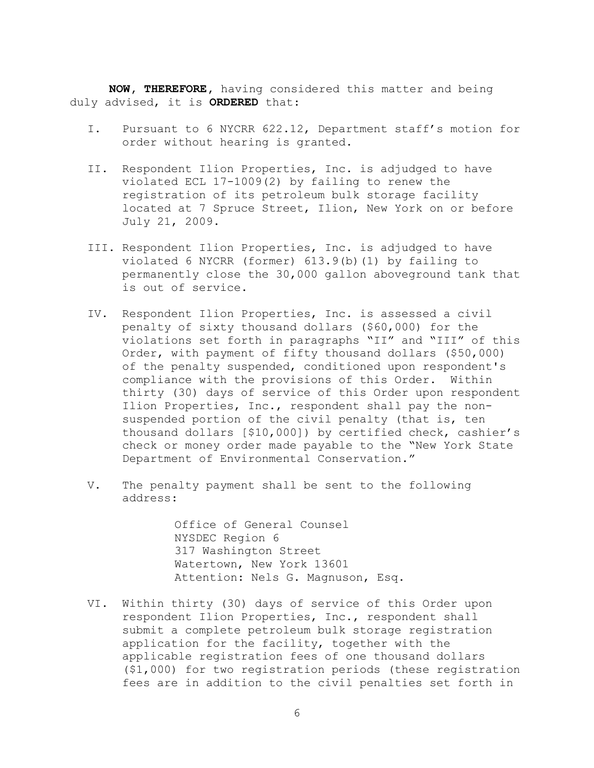**NOW, THEREFORE,** having considered this matter and being duly advised, it is **ORDERED** that:

- I. Pursuant to 6 NYCRR 622.12, Department staff's motion for order without hearing is granted.
- II. Respondent Ilion Properties, Inc. is adjudged to have violated ECL 17-1009(2) by failing to renew the registration of its petroleum bulk storage facility located at 7 Spruce Street, Ilion, New York on or before July 21, 2009.
- III. Respondent Ilion Properties, Inc. is adjudged to have violated 6 NYCRR (former) 613.9(b)(1) by failing to permanently close the 30,000 gallon aboveground tank that is out of service.
- IV. Respondent Ilion Properties, Inc. is assessed a civil penalty of sixty thousand dollars (\$60,000) for the violations set forth in paragraphs "II" and "III" of this Order, with payment of fifty thousand dollars (\$50,000) of the penalty suspended, conditioned upon respondent's compliance with the provisions of this Order. Within thirty (30) days of service of this Order upon respondent Ilion Properties, Inc., respondent shall pay the nonsuspended portion of the civil penalty (that is, ten thousand dollars [\$10,000]) by certified check, cashier's check or money order made payable to the "New York State Department of Environmental Conservation."
- V. The penalty payment shall be sent to the following address:

Office of General Counsel NYSDEC Region 6 317 Washington Street Watertown, New York 13601 Attention: Nels G. Magnuson, Esq.

VI. Within thirty (30) days of service of this Order upon respondent Ilion Properties, Inc., respondent shall submit a complete petroleum bulk storage registration application for the facility, together with the applicable registration fees of one thousand dollars (\$1,000) for two registration periods (these registration fees are in addition to the civil penalties set forth in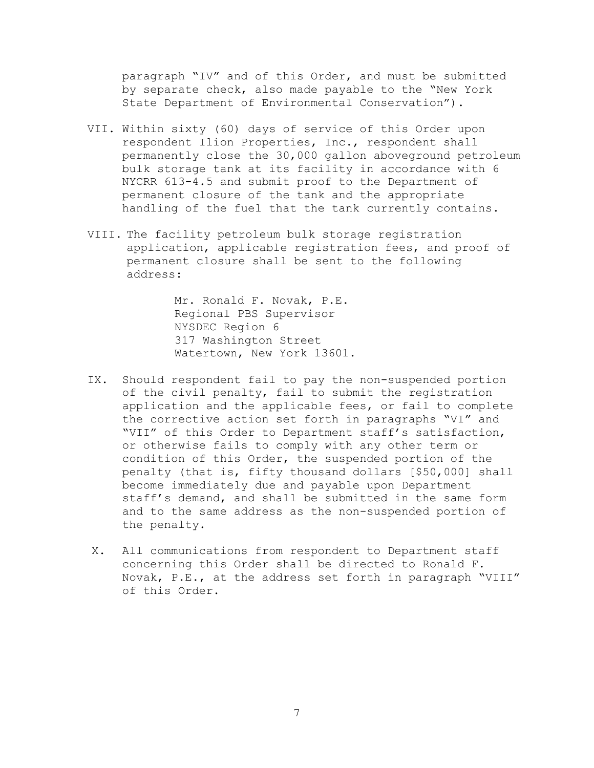paragraph "IV" and of this Order, and must be submitted by separate check, also made payable to the "New York State Department of Environmental Conservation").

- VII. Within sixty (60) days of service of this Order upon respondent Ilion Properties, Inc., respondent shall permanently close the 30,000 gallon aboveground petroleum bulk storage tank at its facility in accordance with 6 NYCRR 613-4.5 and submit proof to the Department of permanent closure of the tank and the appropriate handling of the fuel that the tank currently contains.
- VIII. The facility petroleum bulk storage registration application, applicable registration fees, and proof of permanent closure shall be sent to the following address:

Mr. Ronald F. Novak, P.E. Regional PBS Supervisor NYSDEC Region 6 317 Washington Street Watertown, New York 13601.

- IX. Should respondent fail to pay the non-suspended portion of the civil penalty, fail to submit the registration application and the applicable fees, or fail to complete the corrective action set forth in paragraphs "VI" and "VII" of this Order to Department staff's satisfaction, or otherwise fails to comply with any other term or condition of this Order, the suspended portion of the penalty (that is, fifty thousand dollars [\$50,000] shall become immediately due and payable upon Department staff's demand, and shall be submitted in the same form and to the same address as the non-suspended portion of the penalty.
- X. All communications from respondent to Department staff concerning this Order shall be directed to Ronald F. Novak, P.E., at the address set forth in paragraph "VIII" of this Order.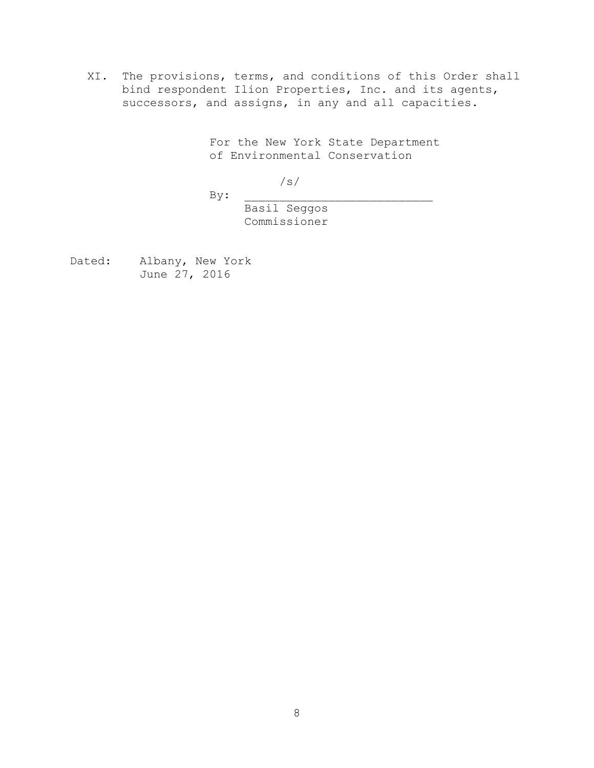XI. The provisions, terms, and conditions of this Order shall bind respondent Ilion Properties, Inc. and its agents, successors, and assigns, in any and all capacities.

> For the New York State Department of Environmental Conservation

> > /s/

 $By:$ 

Basil Seggos Commissioner

Dated: Albany, New York June 27, 2016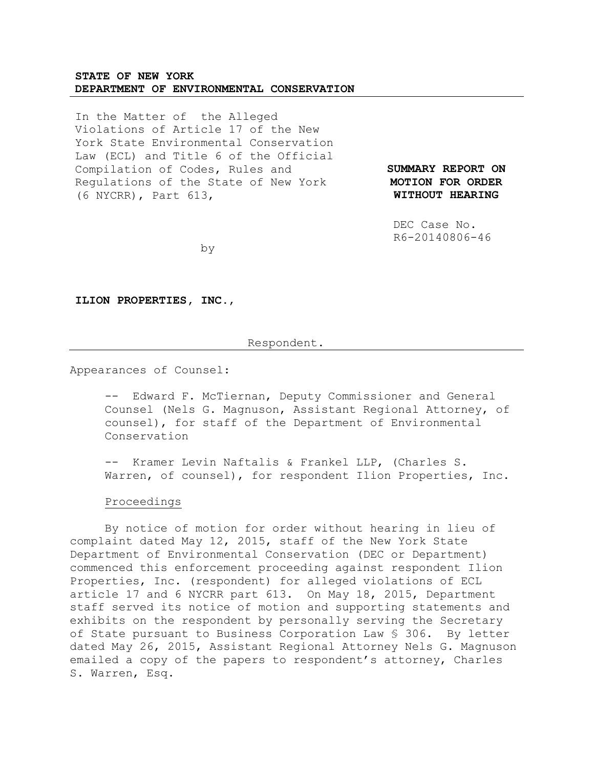# **STATE OF NEW YORK DEPARTMENT OF ENVIRONMENTAL CONSERVATION**

In the Matter of the Alleged Violations of Article 17 of the New York State Environmental Conservation Law (ECL) and Title 6 of the Official Compilation of Codes, Rules and Regulations of the State of New York (6 NYCRR), Part 613,

**SUMMARY REPORT ON MOTION FOR ORDER WITHOUT HEARING**

 DEC Case No. R6-20140806-46

by

**ILION PROPERTIES, INC.**,

#### Respondent.

Appearances of Counsel:

-- Edward F. McTiernan, Deputy Commissioner and General Counsel (Nels G. Magnuson, Assistant Regional Attorney, of counsel), for staff of the Department of Environmental Conservation

-- Kramer Levin Naftalis & Frankel LLP, (Charles S. Warren, of counsel), for respondent Ilion Properties, Inc.

### Proceedings

By notice of motion for order without hearing in lieu of complaint dated May 12, 2015, staff of the New York State Department of Environmental Conservation (DEC or Department) commenced this enforcement proceeding against respondent Ilion Properties, Inc. (respondent) for alleged violations of ECL article 17 and 6 NYCRR part 613. On May 18, 2015, Department staff served its notice of motion and supporting statements and exhibits on the respondent by personally serving the Secretary of State pursuant to Business Corporation Law § 306. By letter dated May 26, 2015, Assistant Regional Attorney Nels G. Magnuson emailed a copy of the papers to respondent's attorney, Charles S. Warren, Esq.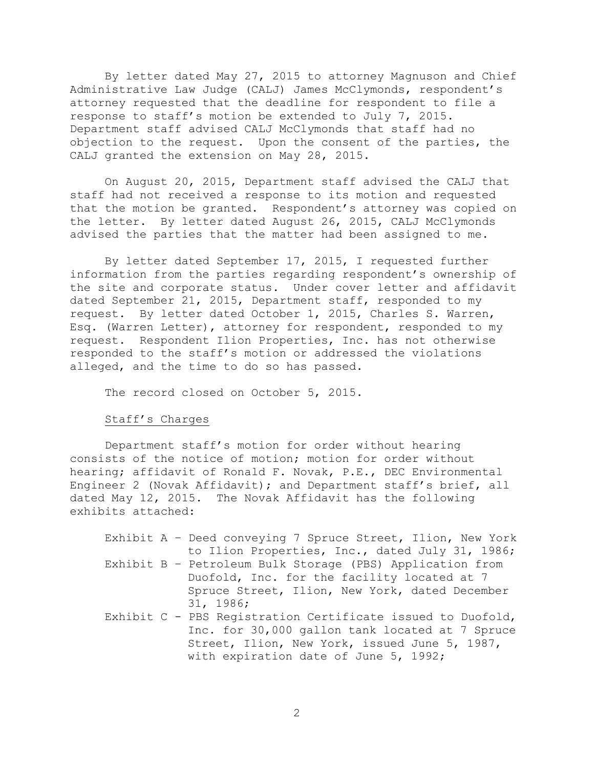By letter dated May 27, 2015 to attorney Magnuson and Chief Administrative Law Judge (CALJ) James McClymonds, respondent's attorney requested that the deadline for respondent to file a response to staff's motion be extended to July 7, 2015. Department staff advised CALJ McClymonds that staff had no objection to the request. Upon the consent of the parties, the CALJ granted the extension on May 28, 2015.

On August 20, 2015, Department staff advised the CALJ that staff had not received a response to its motion and requested that the motion be granted. Respondent's attorney was copied on the letter. By letter dated August 26, 2015, CALJ McClymonds advised the parties that the matter had been assigned to me.

By letter dated September 17, 2015, I requested further information from the parties regarding respondent's ownership of the site and corporate status. Under cover letter and affidavit dated September 21, 2015, Department staff, responded to my request. By letter dated October 1, 2015, Charles S. Warren, Esq. (Warren Letter), attorney for respondent, responded to my request. Respondent Ilion Properties, Inc. has not otherwise responded to the staff's motion or addressed the violations alleged, and the time to do so has passed.

The record closed on October 5, 2015.

# Staff's Charges

Department staff's motion for order without hearing consists of the notice of motion; motion for order without hearing; affidavit of Ronald F. Novak, P.E., DEC Environmental Engineer 2 (Novak Affidavit); and Department staff's brief, all dated May 12, 2015. The Novak Affidavit has the following exhibits attached:

|  | Exhibit A - Deed conveying 7 Spruce Street, Ilion, New York |
|--|-------------------------------------------------------------|
|  | to Ilion Properties, Inc., dated July 31, 1986;             |
|  | Exhibit B - Petroleum Bulk Storage (PBS) Application from   |
|  | Duofold, Inc. for the facility located at 7                 |
|  | Spruce Street, Ilion, New York, dated December              |
|  | 31, 1986;                                                   |
|  | Exhibit C - PBS Registration Certificate issued to Duofold, |
|  | Inc. for 30,000 gallon tank located at 7 Spruce             |
|  | Street, Ilion, New York, issued June 5, 1987,               |
|  | with expiration date of June 5, 1992;                       |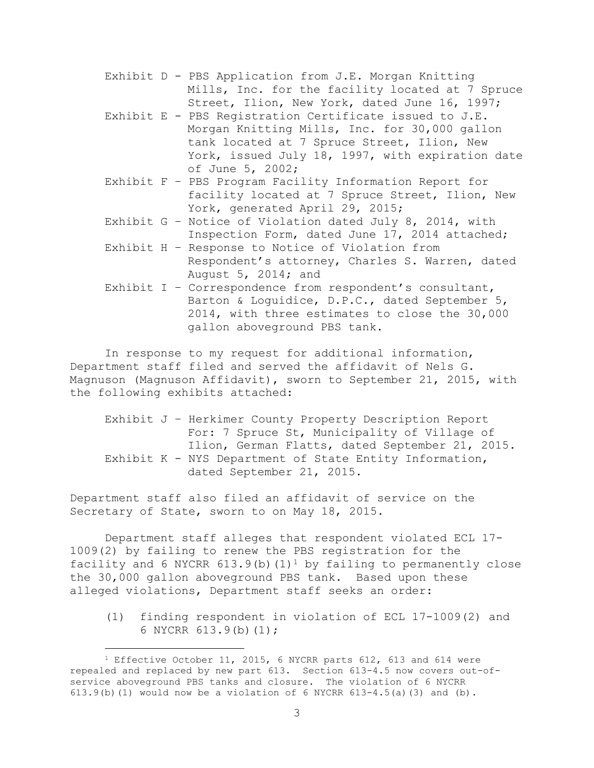- Exhibit D PBS Application from J.E. Morgan Knitting Mills, Inc. for the facility located at 7 Spruce Street, Ilion, New York, dated June 16, 1997;
- Exhibit E PBS Registration Certificate issued to J.E. Morgan Knitting Mills, Inc. for 30,000 gallon tank located at 7 Spruce Street, Ilion, New York, issued July 18, 1997, with expiration date of June 5, 2002;
- Exhibit F PBS Program Facility Information Report for facility located at 7 Spruce Street, Ilion, New York, generated April 29, 2015;
- Exhibit G Notice of Violation dated July 8, 2014, with Inspection Form, dated June 17, 2014 attached;
- Exhibit H Response to Notice of Violation from Respondent's attorney, Charles S. Warren, dated August 5, 2014; and
- Exhibit I Correspondence from respondent's consultant, Barton & Loguidice, D.P.C., dated September 5, 2014, with three estimates to close the 30,000 gallon aboveground PBS tank.

In response to my request for additional information, Department staff filed and served the affidavit of Nels G. Magnuson (Magnuson Affidavit), sworn to September 21, 2015, with the following exhibits attached:

Exhibit J – Herkimer County Property Description Report For: 7 Spruce St, Municipality of Village of Ilion, German Flatts, dated September 21, 2015. Exhibit K - NYS Department of State Entity Information, dated September 21, 2015.

Department staff also filed an affidavit of service on the Secretary of State, sworn to on May 18, 2015.

Department staff alleges that respondent violated ECL 17- 1009(2) by failing to renew the PBS registration for the facility and 6 NYCRR  $613.9(b)(1)^1$  by failing to permanently close the 30,000 gallon aboveground PBS tank. Based upon these alleged violations, Department staff seeks an order:

(1) finding respondent in violation of ECL 17-1009(2) and 6 NYCRR 613.9(b)(1);

i<br>L

<sup>&</sup>lt;sup>1</sup> Effective October 11, 2015, 6 NYCRR parts 612, 613 and 614 were repealed and replaced by new part 613. Section 613-4.5 now covers out-ofservice aboveground PBS tanks and closure. The violation of 6 NYCRR 613.9(b)(1) would now be a violation of 6 NYCRR  $613-4.5$ (a)(3) and (b).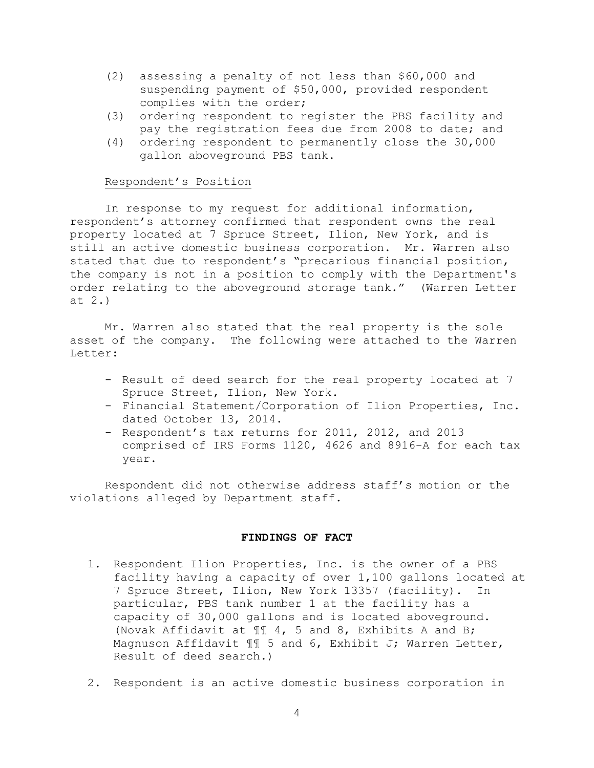- (2) assessing a penalty of not less than \$60,000 and suspending payment of \$50,000, provided respondent complies with the order;
- (3) ordering respondent to register the PBS facility and pay the registration fees due from 2008 to date; and
- (4) ordering respondent to permanently close the 30,000 gallon aboveground PBS tank.

# Respondent's Position

In response to my request for additional information, respondent's attorney confirmed that respondent owns the real property located at 7 Spruce Street, Ilion, New York, and is still an active domestic business corporation. Mr. Warren also stated that due to respondent's "precarious financial position, the company is not in a position to comply with the Department's order relating to the aboveground storage tank." (Warren Letter at 2.)

Mr. Warren also stated that the real property is the sole asset of the company. The following were attached to the Warren Letter:

- Result of deed search for the real property located at 7 Spruce Street, Ilion, New York.
- Financial Statement/Corporation of Ilion Properties, Inc. dated October 13, 2014.
- Respondent's tax returns for 2011, 2012, and 2013 comprised of IRS Forms 1120, 4626 and 8916-A for each tax year.

Respondent did not otherwise address staff's motion or the violations alleged by Department staff.

#### **FINDINGS OF FACT**

- 1. Respondent Ilion Properties, Inc. is the owner of a PBS facility having a capacity of over 1,100 gallons located at 7 Spruce Street, Ilion, New York 13357 (facility). In particular, PBS tank number 1 at the facility has a capacity of 30,000 gallons and is located aboveground. (Novak Affidavit at ¶¶ 4, 5 and 8, Exhibits A and B; Magnuson Affidavit ¶¶ 5 and 6, Exhibit J; Warren Letter, Result of deed search.)
- 2. Respondent is an active domestic business corporation in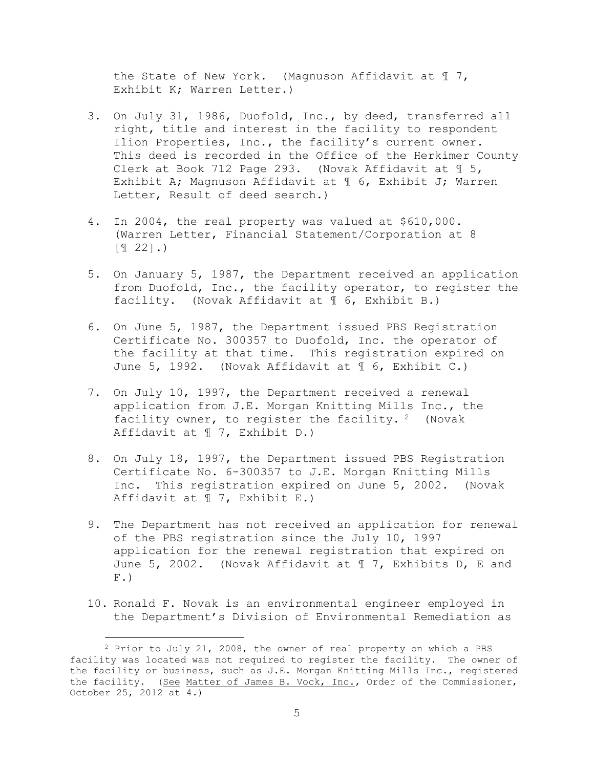the State of New York. (Magnuson Affidavit at ¶ 7, Exhibit K; Warren Letter.)

- 3. On July 31, 1986, Duofold, Inc., by deed, transferred all right, title and interest in the facility to respondent Ilion Properties, Inc., the facility's current owner. This deed is recorded in the Office of the Herkimer County Clerk at Book 712 Page 293. (Novak Affidavit at ¶ 5, Exhibit A; Magnuson Affidavit at ¶ 6, Exhibit J; Warren Letter, Result of deed search.)
- 4. In 2004, the real property was valued at \$610,000. (Warren Letter, Financial Statement/Corporation at 8  $[T 22]$ .)
- 5. On January 5, 1987, the Department received an application from Duofold, Inc., the facility operator, to register the facility. (Novak Affidavit at ¶ 6, Exhibit B.)
- 6. On June 5, 1987, the Department issued PBS Registration Certificate No. 300357 to Duofold, Inc. the operator of the facility at that time. This registration expired on June 5, 1992. (Novak Affidavit at ¶ 6, Exhibit C.)
- 7. On July 10, 1997, the Department received a renewal application from J.E. Morgan Knitting Mills Inc., the facility owner, to register the facility. <sup>2</sup> (Novak Affidavit at ¶ 7, Exhibit D.)
- 8. On July 18, 1997, the Department issued PBS Registration Certificate No. 6-300357 to J.E. Morgan Knitting Mills Inc. This registration expired on June 5, 2002. (Novak Affidavit at ¶ 7, Exhibit E.)
- 9. The Department has not received an application for renewal of the PBS registration since the July 10, 1997 application for the renewal registration that expired on June 5, 2002. (Novak Affidavit at ¶ 7, Exhibits D, E and  $F.$ )
- 10. Ronald F. Novak is an environmental engineer employed in the Department's Division of Environmental Remediation as

i<br>L

<sup>2</sup> Prior to July 21, 2008, the owner of real property on which a PBS facility was located was not required to register the facility. The owner of the facility or business, such as J.E. Morgan Knitting Mills Inc., registered the facility. (See Matter of James B. Vock, Inc., Order of the Commissioner, October 25, 2012 at 4.)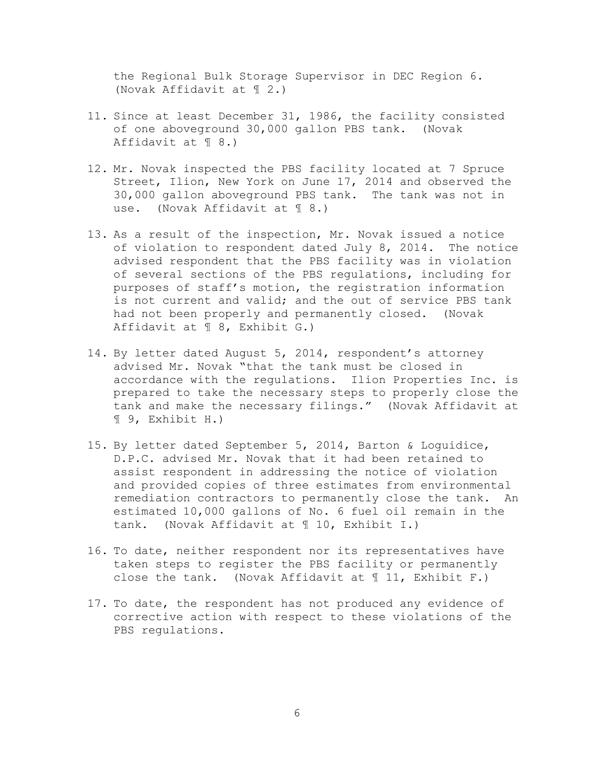the Regional Bulk Storage Supervisor in DEC Region 6. (Novak Affidavit at ¶ 2.)

- 11. Since at least December 31, 1986, the facility consisted of one aboveground 30,000 gallon PBS tank. (Novak Affidavit at ¶ 8.)
- 12. Mr. Novak inspected the PBS facility located at 7 Spruce Street, Ilion, New York on June 17, 2014 and observed the 30,000 gallon aboveground PBS tank. The tank was not in use. (Novak Affidavit at ¶ 8.)
- 13. As a result of the inspection, Mr. Novak issued a notice of violation to respondent dated July 8, 2014. The notice advised respondent that the PBS facility was in violation of several sections of the PBS regulations, including for purposes of staff's motion, the registration information is not current and valid; and the out of service PBS tank had not been properly and permanently closed. (Novak Affidavit at ¶ 8, Exhibit G.)
- 14. By letter dated August 5, 2014, respondent's attorney advised Mr. Novak "that the tank must be closed in accordance with the regulations. Ilion Properties Inc. is prepared to take the necessary steps to properly close the tank and make the necessary filings." (Novak Affidavit at ¶ 9, Exhibit H.)
- 15. By letter dated September 5, 2014, Barton & Loguidice, D.P.C. advised Mr. Novak that it had been retained to assist respondent in addressing the notice of violation and provided copies of three estimates from environmental remediation contractors to permanently close the tank. An estimated 10,000 gallons of No. 6 fuel oil remain in the tank. (Novak Affidavit at ¶ 10, Exhibit I.)
- 16. To date, neither respondent nor its representatives have taken steps to register the PBS facility or permanently close the tank. (Novak Affidavit at  $\mathbb I$  11, Exhibit F.)
- 17. To date, the respondent has not produced any evidence of corrective action with respect to these violations of the PBS regulations.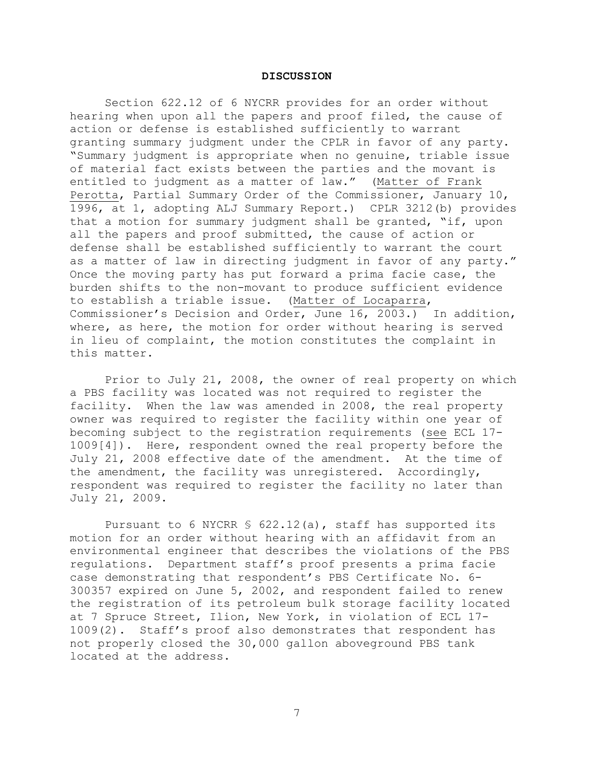#### **DISCUSSION**

Section 622.12 of 6 NYCRR provides for an order without hearing when upon all the papers and proof filed, the cause of action or defense is established sufficiently to warrant granting summary judgment under the CPLR in favor of any party. "Summary judgment is appropriate when no genuine, triable issue of material fact exists between the parties and the movant is entitled to judgment as a matter of law." (Matter of Frank Perotta, Partial Summary Order of the Commissioner, January 10, 1996, at 1, adopting ALJ Summary Report.) CPLR 3212(b) provides that a motion for summary judgment shall be granted, "if, upon all the papers and proof submitted, the cause of action or defense shall be established sufficiently to warrant the court as a matter of law in directing judgment in favor of any party." Once the moving party has put forward a prima facie case, the burden shifts to the non-movant to produce sufficient evidence to establish a triable issue. (Matter of Locaparra, Commissioner's Decision and Order, June 16, 2003.) In addition, where, as here, the motion for order without hearing is served in lieu of complaint, the motion constitutes the complaint in this matter.

Prior to July 21, 2008, the owner of real property on which a PBS facility was located was not required to register the facility. When the law was amended in 2008, the real property owner was required to register the facility within one year of becoming subject to the registration requirements (see ECL 17- 1009[4]). Here, respondent owned the real property before the July 21, 2008 effective date of the amendment. At the time of the amendment, the facility was unregistered. Accordingly, respondent was required to register the facility no later than July 21, 2009.

Pursuant to 6 NYCRR § 622.12(a), staff has supported its motion for an order without hearing with an affidavit from an environmental engineer that describes the violations of the PBS regulations. Department staff's proof presents a prima facie case demonstrating that respondent's PBS Certificate No. 6- 300357 expired on June 5, 2002, and respondent failed to renew the registration of its petroleum bulk storage facility located at 7 Spruce Street, Ilion, New York, in violation of ECL 17- 1009(2). Staff's proof also demonstrates that respondent has not properly closed the 30,000 gallon aboveground PBS tank located at the address.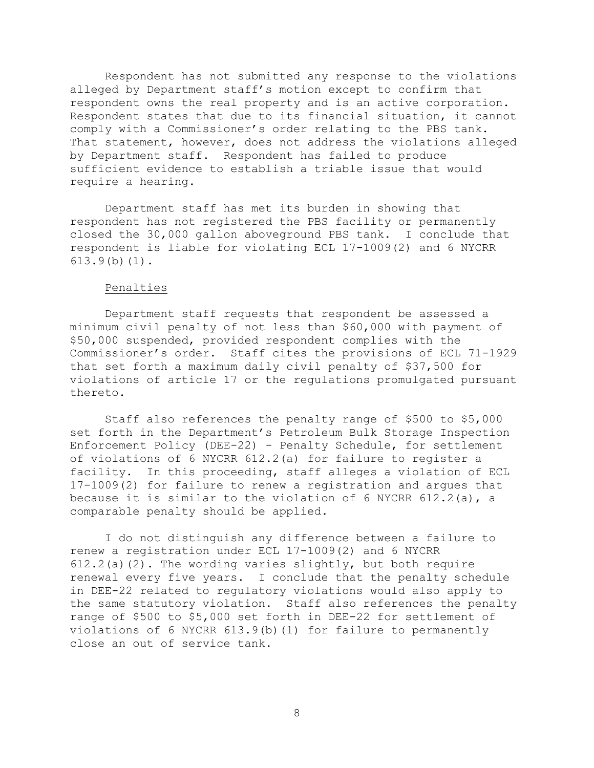Respondent has not submitted any response to the violations alleged by Department staff's motion except to confirm that respondent owns the real property and is an active corporation. Respondent states that due to its financial situation, it cannot comply with a Commissioner's order relating to the PBS tank. That statement, however, does not address the violations alleged by Department staff. Respondent has failed to produce sufficient evidence to establish a triable issue that would require a hearing.

Department staff has met its burden in showing that respondent has not registered the PBS facility or permanently closed the 30,000 gallon aboveground PBS tank. I conclude that respondent is liable for violating ECL 17-1009(2) and 6 NYCRR 613.9(b)(1).

# Penalties

Department staff requests that respondent be assessed a minimum civil penalty of not less than \$60,000 with payment of \$50,000 suspended, provided respondent complies with the Commissioner's order. Staff cites the provisions of ECL 71-1929 that set forth a maximum daily civil penalty of \$37,500 for violations of article 17 or the regulations promulgated pursuant thereto.

Staff also references the penalty range of \$500 to \$5,000 set forth in the Department's Petroleum Bulk Storage Inspection Enforcement Policy (DEE-22) - Penalty Schedule, for settlement of violations of 6 NYCRR 612.2(a) for failure to register a facility. In this proceeding, staff alleges a violation of ECL 17-1009(2) for failure to renew a registration and argues that because it is similar to the violation of  $6$  NYCRR  $612.2(a)$ , a comparable penalty should be applied.

I do not distinguish any difference between a failure to renew a registration under ECL 17-1009(2) and 6 NYCRR  $612.2$ (a)(2). The wording varies slightly, but both require renewal every five years. I conclude that the penalty schedule in DEE-22 related to regulatory violations would also apply to the same statutory violation. Staff also references the penalty range of \$500 to \$5,000 set forth in DEE-22 for settlement of violations of 6 NYCRR 613.9(b)(1) for failure to permanently close an out of service tank.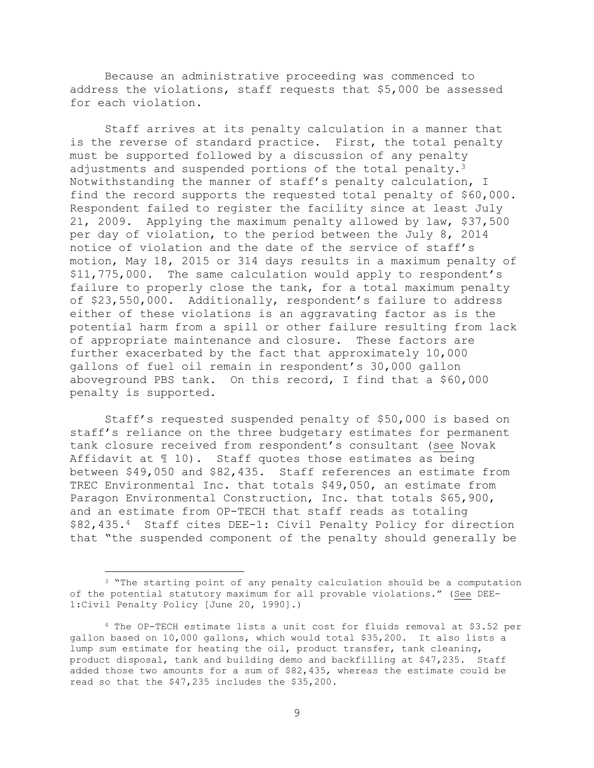Because an administrative proceeding was commenced to address the violations, staff requests that \$5,000 be assessed for each violation.

Staff arrives at its penalty calculation in a manner that is the reverse of standard practice. First, the total penalty must be supported followed by a discussion of any penalty adjustments and suspended portions of the total penalty.<sup>3</sup> Notwithstanding the manner of staff's penalty calculation, I find the record supports the requested total penalty of \$60,000. Respondent failed to register the facility since at least July 21, 2009. Applying the maximum penalty allowed by law, \$37,500 per day of violation, to the period between the July 8, 2014 notice of violation and the date of the service of staff's motion, May 18, 2015 or 314 days results in a maximum penalty of \$11,775,000. The same calculation would apply to respondent's failure to properly close the tank, for a total maximum penalty of \$23,550,000. Additionally, respondent's failure to address either of these violations is an aggravating factor as is the potential harm from a spill or other failure resulting from lack of appropriate maintenance and closure. These factors are further exacerbated by the fact that approximately 10,000 gallons of fuel oil remain in respondent's 30,000 gallon aboveground PBS tank. On this record, I find that a \$60,000 penalty is supported.

Staff's requested suspended penalty of \$50,000 is based on staff's reliance on the three budgetary estimates for permanent tank closure received from respondent's consultant (see Novak Affidavit at ¶ 10). Staff quotes those estimates as being between \$49,050 and \$82,435. Staff references an estimate from TREC Environmental Inc. that totals \$49,050, an estimate from Paragon Environmental Construction, Inc. that totals \$65,900, and an estimate from OP-TECH that staff reads as totaling \$82,435.4 Staff cites DEE-1: Civil Penalty Policy for direction that "the suspended component of the penalty should generally be

L,

<sup>&</sup>lt;sup>3</sup> "The starting point of any penalty calculation should be a computation of the potential statutory maximum for all provable violations." (See DEE-1:Civil Penalty Policy [June 20, 1990].)

<sup>4</sup> The OP-TECH estimate lists a unit cost for fluids removal at \$3.52 per gallon based on 10,000 gallons, which would total \$35,200. It also lists a lump sum estimate for heating the oil, product transfer, tank cleaning, product disposal, tank and building demo and backfilling at \$47,235. Staff added those two amounts for a sum of \$82,435, whereas the estimate could be read so that the \$47,235 includes the \$35,200.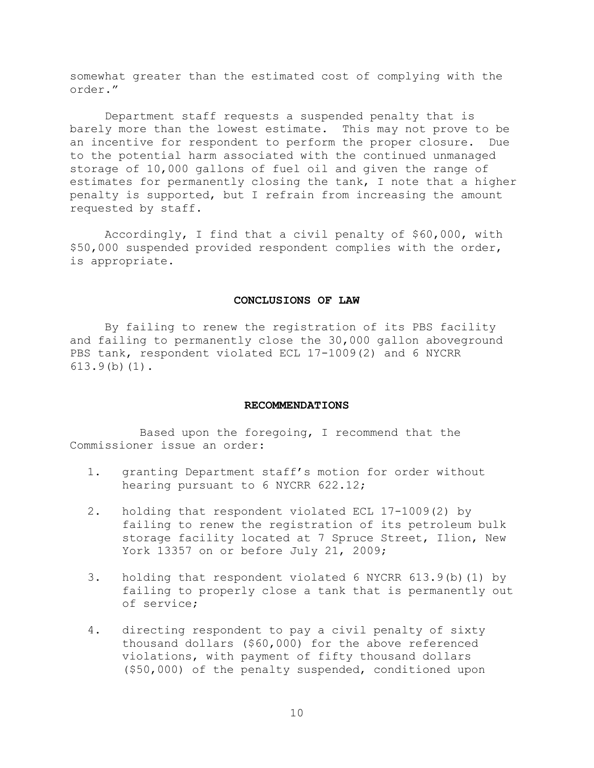somewhat greater than the estimated cost of complying with the order."

Department staff requests a suspended penalty that is barely more than the lowest estimate. This may not prove to be an incentive for respondent to perform the proper closure. Due to the potential harm associated with the continued unmanaged storage of 10,000 gallons of fuel oil and given the range of estimates for permanently closing the tank, I note that a higher penalty is supported, but I refrain from increasing the amount requested by staff.

Accordingly, I find that a civil penalty of \$60,000, with \$50,000 suspended provided respondent complies with the order, is appropriate.

# **CONCLUSIONS OF LAW**

By failing to renew the registration of its PBS facility and failing to permanently close the 30,000 gallon aboveground PBS tank, respondent violated ECL 17-1009(2) and 6 NYCRR 613.9(b)(1).

### **RECOMMENDATIONS**

Based upon the foregoing, I recommend that the Commissioner issue an order:

- 1. granting Department staff's motion for order without hearing pursuant to 6 NYCRR 622.12;
- 2. holding that respondent violated ECL 17-1009(2) by failing to renew the registration of its petroleum bulk storage facility located at 7 Spruce Street, Ilion, New York 13357 on or before July 21, 2009;
- 3. holding that respondent violated 6 NYCRR 613.9(b)(1) by failing to properly close a tank that is permanently out of service;
- 4. directing respondent to pay a civil penalty of sixty thousand dollars (\$60,000) for the above referenced violations, with payment of fifty thousand dollars (\$50,000) of the penalty suspended, conditioned upon